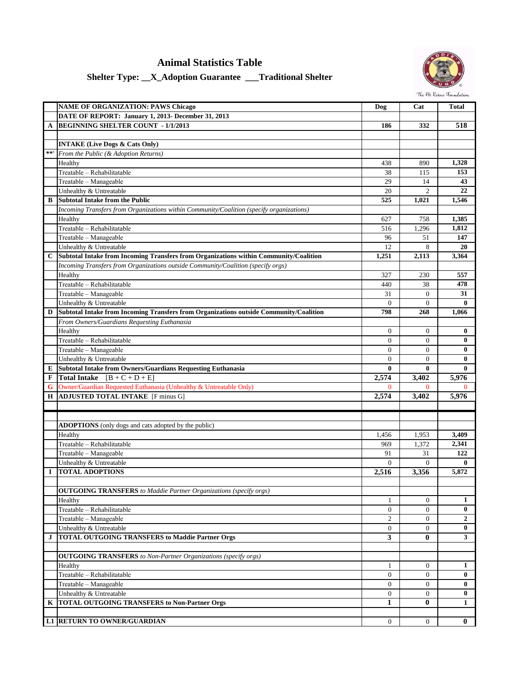## **Animal Statistics Table**



## **Shelter Type: \_\_X\_Adoption Guarantee \_\_\_Traditional Shelter**

|             | <b>NAME OF ORGANIZATION: PAWS Chicago</b>                                                | Dog              | Cat              | <b>Total</b> |
|-------------|------------------------------------------------------------------------------------------|------------------|------------------|--------------|
|             | DATE OF REPORT: January 1, 2013- December 31, 2013                                       |                  |                  |              |
| A           | <b>BEGINNING SHELTER COUNT - 1/1/2013</b>                                                | 186              | 332              | 518          |
|             |                                                                                          |                  |                  |              |
|             | <b>INTAKE (Live Dogs &amp; Cats Only)</b>                                                |                  |                  |              |
| $\pm \pm$   | From the Public (& Adoption Returns)                                                     |                  |                  |              |
|             | Healthy                                                                                  | 438              | 890              | 1,328        |
|             | Treatable - Rehabilitatable                                                              | 38               | 115              | 153          |
|             | Treatable - Manageable                                                                   | 29               | 14               | 43           |
|             | Unhealthy & Untreatable                                                                  | 20               | $\overline{c}$   | 22           |
| B           | <b>Subtotal Intake from the Public</b>                                                   | 525              | 1,021            | 1,546        |
|             | Incoming Transfers from Organizations within Community/Coalition (specify organizations) |                  |                  |              |
|             | Healthy                                                                                  | 627              | 758              | 1,385        |
|             | Treatable - Rehabilitatable                                                              | 516              | 1,296            | 1,812        |
|             | Treatable - Manageable                                                                   | 96               | 51               | 147          |
|             | Unhealthy & Untreatable                                                                  | 12               | 8                | 20           |
| C           | Subtotal Intake from Incoming Transfers from Organizations within Community/Coalition    | 1,251            | 2,113            | 3,364        |
|             | Incoming Transfers from Organizations outside Community/Coalition (specify orgs)         |                  |                  |              |
|             | Healthy                                                                                  | 327              | 230              | 557          |
|             | Treatable - Rehabilitatable                                                              | 440              | 38               | 478          |
|             | Treatable - Manageable                                                                   | 31               | $\overline{0}$   | 31           |
|             | Unhealthy & Untreatable                                                                  | $\Omega$         | $\Omega$         | $\bf{0}$     |
| D           | Subtotal Intake from Incoming Transfers from Organizations outside Community/Coalition   | 798              | 268              | 1,066        |
|             | From Owners/Guardians Requesting Euthanasia                                              |                  |                  |              |
|             | Healthy                                                                                  | $\mathbf{0}$     | $\mathbf{0}$     | $\bf{0}$     |
|             | Treatable - Rehabilitatable                                                              | $\mathbf{0}$     | $\mathbf{0}$     | $\bf{0}$     |
|             | Treatable - Manageable                                                                   | $\mathbf{0}$     | $\mathbf{0}$     | $\bf{0}$     |
|             | Unhealthy & Untreatable                                                                  | $\mathbf{0}$     | $\mathbf{0}$     | $\bf{0}$     |
| E           | <b>Subtotal Intake from Owners/Guardians Requesting Euthanasia</b>                       | $\bf{0}$         | $\bf{0}$         | $\bf{0}$     |
| $\mathbf F$ | <b>Total Intake</b> $[B + C + D + E]$                                                    | 2,574            | 3,402            | 5,976        |
| G           | Owner/Guardian Requested Euthanasia (Unhealthy & Untreatable Only)                       | $\mathbf{0}$     | $\Omega$         | $\Omega$     |
| Н           | <b>ADJUSTED TOTAL INTAKE</b> [F minus G]                                                 | 2,574            | 3,402            | 5,976        |
|             |                                                                                          |                  |                  |              |
|             |                                                                                          |                  |                  |              |
|             | <b>ADOPTIONS</b> (only dogs and cats adopted by the public)                              |                  |                  |              |
|             | Healthy                                                                                  | 1,456            | 1,953            | 3,409        |
|             | Treatable - Rehabilitatable                                                              | 969              | 1,372            | 2,341        |
|             | Treatable - Manageable                                                                   | 91               | 31               | 122          |
|             | Unhealthy & Untreatable                                                                  | $\Omega$         | $\Omega$         | $\mathbf{0}$ |
| <b>I</b>    | <b>TOTAL ADOPTIONS</b>                                                                   | 2,516            | 3,356            | 5,872        |
|             |                                                                                          |                  |                  |              |
|             | <b>OUTGOING TRANSFERS</b> to Maddie Partner Organizations (specify orgs)                 |                  |                  |              |
|             | Healthy                                                                                  | 1                | $\mathbf{0}$     | 1            |
|             | Treatable - Rehabilitatable                                                              | $\mathbf{0}$     | $\boldsymbol{0}$ | $\bf{0}$     |
|             | Treatable - Manageable                                                                   | $\overline{c}$   | $\boldsymbol{0}$ | $\mathbf{2}$ |
|             | Unhealthy & Untreatable                                                                  | 0                | $\overline{0}$   | $\bf{0}$     |
| J           | <b>TOTAL OUTGOING TRANSFERS to Maddie Partner Orgs</b>                                   | 3                | $\bf{0}$         | 3            |
|             |                                                                                          |                  |                  |              |
|             | <b>OUTGOING TRANSFERS</b> to Non-Partner Organizations (specify orgs)                    |                  |                  |              |
|             | Healthy                                                                                  | 1                | $\mathbf{0}$     | 1            |
|             | Treatable - Rehabilitatable                                                              | $\overline{0}$   | $\boldsymbol{0}$ | $\bf{0}$     |
|             | Treatable - Manageable                                                                   | $\boldsymbol{0}$ | $\boldsymbol{0}$ | $\bf{0}$     |
|             | Unhealthy & Untreatable                                                                  | $\boldsymbol{0}$ | $\boldsymbol{0}$ | $\bf{0}$     |
| K           | <b>TOTAL OUTGOING TRANSFERS</b> to Non-Partner Orgs                                      | 1                | 0                | 1            |
|             |                                                                                          |                  |                  |              |
| L1          | <b>RETURN TO OWNER/GUARDIAN</b>                                                          | 0                | 0                | 0            |
|             |                                                                                          |                  |                  |              |